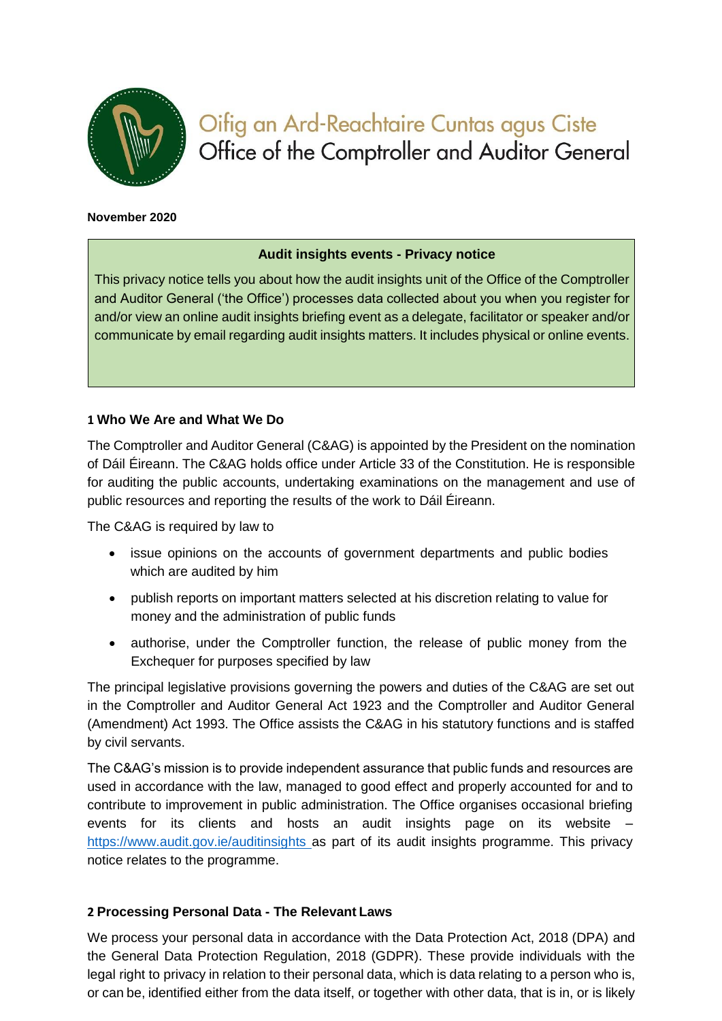

# Oifig an Ard-Reachtaire Cuntas agus Ciste Office of the Comptroller and Auditor General

#### **November 2020**

#### **Audit insights events - Privacy notice**

This privacy notice tells you about how the audit insights unit of the Office of the Comptroller and Auditor General ('the Office') processes data collected about you when you register for and/or view an online audit insights briefing event as a delegate, facilitator or speaker and/or communicate by email regarding audit insights matters. It includes physical or online events.

## **1 Who We Are and What We Do**

The Comptroller and Auditor General (C&AG) is appointed by the President on the nomination of Dáil Éireann. The C&AG holds office under Article 33 of the Constitution. He is responsible for auditing the public accounts, undertaking examinations on the management and use of public resources and reporting the results of the work to Dáil Éireann.

The C&AG is required by law to

- issue opinions on the accounts of government departments and public bodies which are audited by him
- publish reports on important matters selected at his discretion relating to value for money and the administration of public funds
- authorise, under the Comptroller function, the release of public money from the Exchequer for purposes specified by law

The principal legislative provisions governing the powers and duties of the C&AG are set out in the Comptroller and Auditor General Act 1923 and the Comptroller and Auditor General (Amendment) Act 1993. The Office assists the C&AG in his statutory functions and is staffed by civil servants.

The C&AG's mission is to provide independent assurance that public funds and resources are used in accordance with the law, managed to good effect and properly accounted for and to contribute to improvement in public administration. The Office organises occasional briefing events for its clients and hosts an audit insights page on its website – [https://www.audit.gov.ie/auditinsights a](https://www.audit.gov.ie/auditinsights)s part of its audit insights programme. This privacy notice relates to the programme.

#### **2 Processing Personal Data - The Relevant Laws**

We process your personal data in accordance with the Data Protection Act, 2018 (DPA) and the General Data Protection Regulation, 2018 (GDPR). These provide individuals with the legal right to privacy in relation to their personal data, which is data relating to a person who is, or can be, identified either from the data itself, or together with other data, that is in, or is likely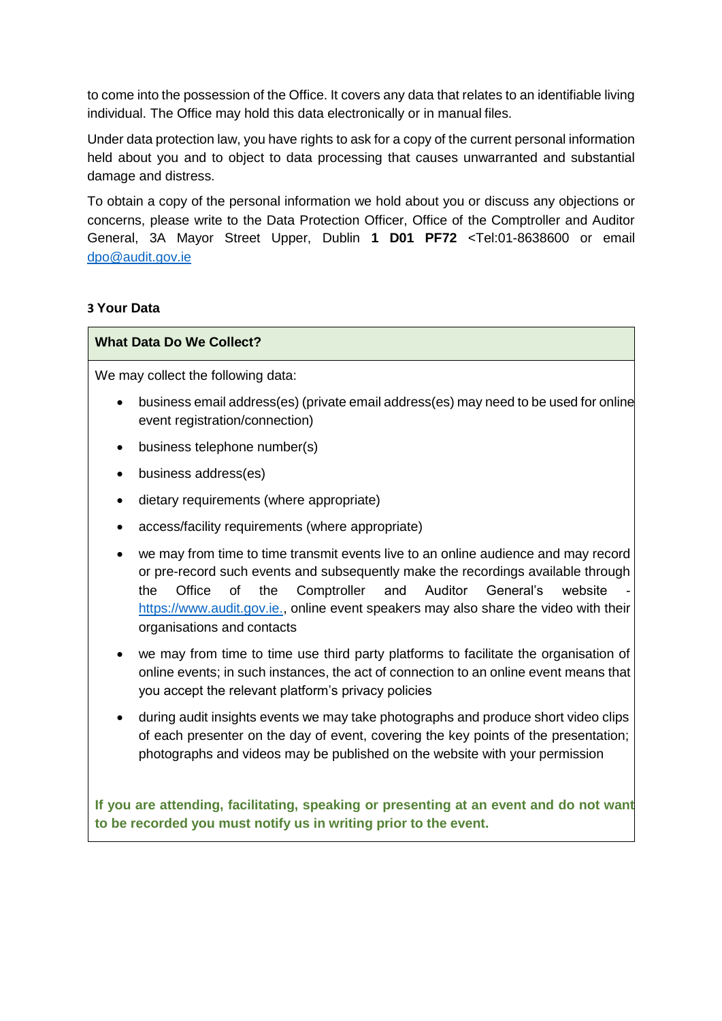to come into the possession of the Office. It covers any data that relates to an identifiable living individual. The Office may hold this data electronically or in manual files.

Under data protection law, you have rights to ask for a copy of the current personal information held about you and to object to data processing that causes unwarranted and substantial damage and distress.

To obtain a copy of the personal information we hold about you or discuss any objections or concerns, please write to the Data Protection Officer, Office of the Comptroller and Auditor General, 3A Mayor Street Upper, Dublin **1 D01 PF72** <Tel:01-8638600 or email [dpo@audit.gov.ie](mailto:dpo@audgen.irlgov.ie)

## **3 Your Data**

## **What Data Do We Collect?**

We may collect the following data:

- business email address(es) (private email address(es) may need to be used for online event registration/connection)
- business telephone number(s)
- business address(es)
- dietary requirements (where appropriate)
- access/facility requirements (where appropriate)
- we may from time to time transmit events live to an online audience and may record or pre-record such events and subsequently make the recordings available through the Office of the Comptroller and Auditor General's website [https://www.audit.gov.ie.,](https://www.audit.gov.ie/) online event speakers may also share the video with their organisations and contacts
- we may from time to time use third party platforms to facilitate the organisation of online events; in such instances, the act of connection to an online event means that you accept the relevant platform's privacy policies
- during audit insights events we may take photographs and produce short video clips of each presenter on the day of event, covering the key points of the presentation; photographs and videos may be published on the website with your permission

**If you are attending, facilitating, speaking or presenting at an event and do not want to be recorded you must notify us in writing prior to the event.**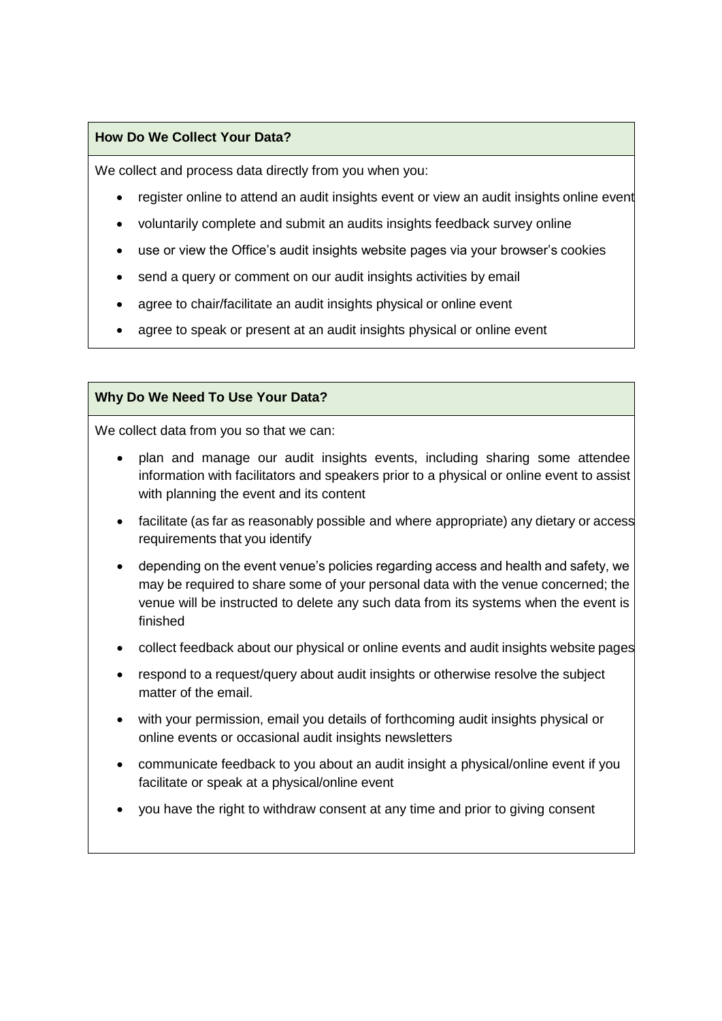#### **How Do We Collect Your Data?**

We collect and process data directly from you when you:

- register online to attend an audit insights event or view an audit insights online event
- voluntarily complete and submit an audits insights feedback survey online
- use or view the Office's audit insights website pages via your browser's cookies
- send a query or comment on our audit insights activities by email
- agree to chair/facilitate an audit insights physical or online event
- agree to speak or present at an audit insights physical or online event

## **Why Do We Need To Use Your Data?**

We collect data from you so that we can:

- plan and manage our audit insights events, including sharing some attendee information with facilitators and speakers prior to a physical or online event to assist with planning the event and its content
- facilitate (as far as reasonably possible and where appropriate) any dietary or access requirements that you identify
- depending on the event venue's policies regarding access and health and safety, we may be required to share some of your personal data with the venue concerned; the venue will be instructed to delete any such data from its systems when the event is finished
- collect feedback about our physical or online events and audit insights website pages
- respond to a request/query about audit insights or otherwise resolve the subject matter of the email.
- with your permission, email you details of forthcoming audit insights physical or online events or occasional audit insights newsletters
- communicate feedback to you about an audit insight a physical/online event if you facilitate or speak at a physical/online event
- you have the right to withdraw consent at any time and prior to giving consent